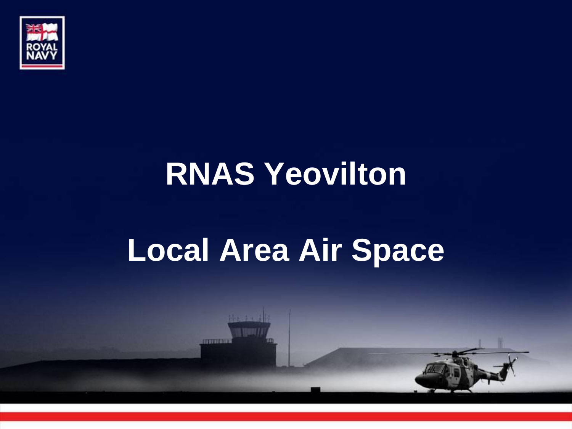

#### **RNAS Yeovilton**

#### **Local Area Air Space**

**CONTROL**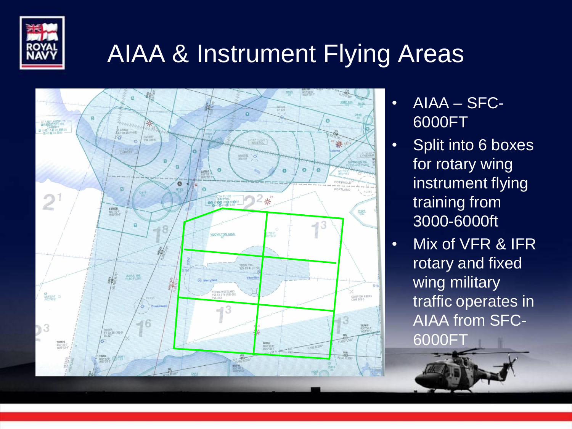

#### AIAA & Instrument Flying Areas



- AIAA SFC-6000FT
- Split into 6 boxes for rotary wing instrument flying training from 3000-6000ft
- Mix of VFR & IFR rotary and fixed wing military traffic operates in AIAA from SFC-6000FT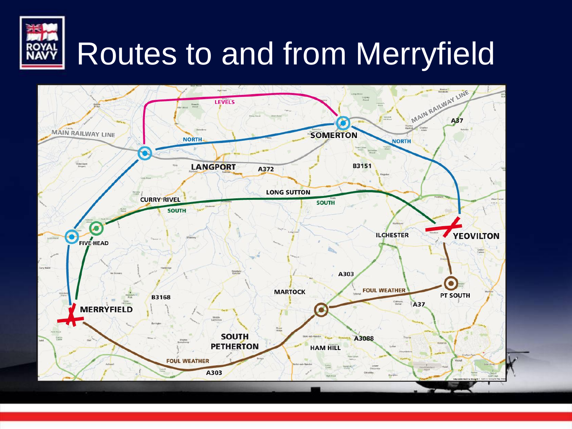

### Routes to and from Merryfield

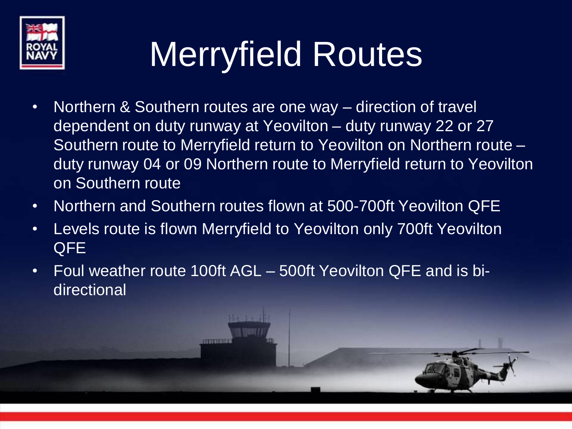

# Merryfield Routes

- Northern & Southern routes are one way direction of travel dependent on duty runway at Yeovilton – duty runway 22 or 27 Southern route to Merryfield return to Yeovilton on Northern route – duty runway 04 or 09 Northern route to Merryfield return to Yeovilton on Southern route
- Northern and Southern routes flown at 500-700ft Yeovilton QFE
- Levels route is flown Merryfield to Yeovilton only 700ft Yeovilton QFE
- Foul weather route 100ft AGL 500ft Yeovilton QFE and is bidirectional

**ANTITIER**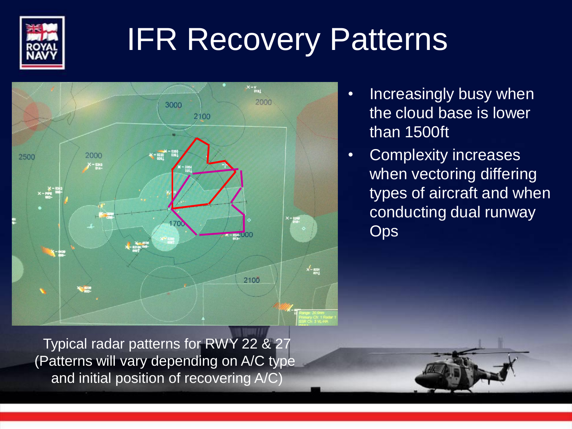

### IFR Recovery Patterns



- Increasingly busy when the cloud base is lower than 1500ft
- Complexity increases when vectoring differing types of aircraft and when conducting dual runway **Ops**

Typical radar patterns for RWY 22 & 27 (Patterns will vary depending on A/C type and initial position of recovering A/C)